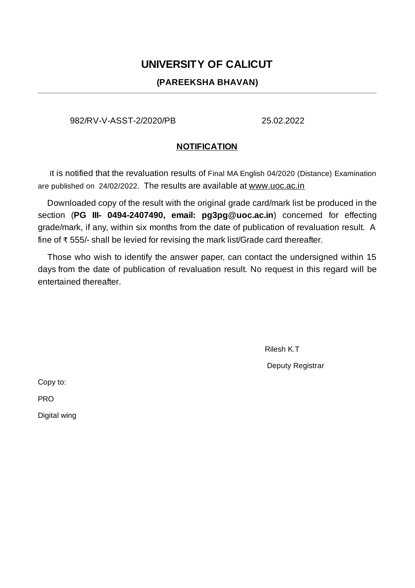## **UNIVERSITY OF CALICUT**

## **(PAREEKSHA BHAVAN)**

982/RV-V-ASST-2/2020/PB 25.02.2022

## **NOTIFICATION**

It is notified that the revaluation results of Final MA English 04/2020 (Distance) Examination are published on 24/02/2022. The results are available at www.uoc.ac.in

Downloaded copy of the result with the original grade card/mark list be produced in the section (**PG III- 0494-2407490, email: pg3pg@uoc.ac.in**) concerned for effecting grade/mark, if any, within six months from the date of publication of revaluation result. A fine of ₹ 555/- shall be levied for revising the mark list/Grade card thereafter.

Those who wish to identify the answer paper, can contact the undersigned within 15 days from the date of publication of revaluation result. No request in this regard will be entertained thereafter.

Rilesh K.T

Deputy Registrar

Copy to:

PRO

Digital wing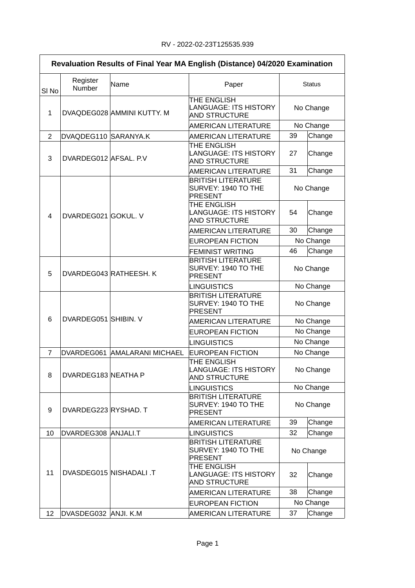| Revaluation Results of Final Year MA English (Distance) 04/2020 Examination |                        |                              |                                                                                          |                        |           |
|-----------------------------------------------------------------------------|------------------------|------------------------------|------------------------------------------------------------------------------------------|------------------------|-----------|
| SI <sub>No</sub>                                                            | Register<br>Number     | Name                         | Paper                                                                                    | <b>Status</b>          |           |
| $\mathbf 1$                                                                 |                        | DVAQDEG028 AMMINI KUTTY. M   | THE ENGLISH<br><b>LANGUAGE: ITS HISTORY</b><br><b>AND STRUCTURE</b>                      | No Change              |           |
|                                                                             |                        |                              | <b>AMERICAN LITERATURE</b>                                                               | No Change              |           |
| 2                                                                           | DVAQDEG110 SARANYA.K   |                              | AMERICAN LITERATURE                                                                      | 39                     | Change    |
| 3                                                                           | DVARDEG012 AFSAL, P.V. |                              | THE ENGLISH<br><b>LANGUAGE: ITS HISTORY</b><br>AND STRUCTURE                             | 27                     | Change    |
|                                                                             |                        |                              | <b>AMERICAN LITERATURE</b>                                                               | 31                     | Change    |
|                                                                             | DVARDEG021 GOKUL. V    |                              | <b>BRITISH LITERATURE</b><br>SURVEY: 1940 TO THE<br><b>PRESENT</b>                       |                        | No Change |
| 4                                                                           |                        |                              | THE ENGLISH<br><b>LANGUAGE: ITS HISTORY</b><br><b>AND STRUCTURE</b>                      | 54                     | Change    |
|                                                                             |                        |                              | <b>AMERICAN LITERATURE</b>                                                               | 30                     | Change    |
|                                                                             |                        |                              | <b>EUROPEAN FICTION</b>                                                                  |                        | No Change |
|                                                                             |                        |                              | <b>FEMINIST WRITING</b>                                                                  | 46                     | Change    |
| 5                                                                           |                        | DVARDEG043 RATHEESH. K       | <b>BRITISH LITERATURE</b><br>SURVEY: 1940 TO THE<br><b>PRESENT</b>                       | No Change              |           |
|                                                                             | DVARDEG051 SHIBIN. V   |                              | <b>LINGUISTICS</b><br><b>BRITISH LITERATURE</b><br>SURVEY: 1940 TO THE<br><b>PRESENT</b> | No Change<br>No Change |           |
| 6                                                                           |                        |                              | AMERICAN LITERATURE                                                                      | No Change              |           |
|                                                                             |                        |                              | <b>EUROPEAN FICTION</b>                                                                  | No Change              |           |
|                                                                             |                        |                              | <b>LINGUISTICS</b>                                                                       | No Change              |           |
| $\overline{7}$                                                              |                        | DVARDEG061 AMALARANI MICHAEL | <b>EUROPEAN FICTION</b>                                                                  | No Change              |           |
| 8                                                                           | DVARDEG183 NEATHA P    |                              | THE ENGLISH<br>LANGUAGE: ITS HISTORY<br>AND STRUCTURE                                    | No Change              |           |
|                                                                             |                        |                              | <b>LINGUISTICS</b>                                                                       | No Change              |           |
| 9                                                                           | DVARDEG223 RYSHAD. T   |                              | <b>BRITISH LITERATURE</b><br>SURVEY: 1940 TO THE<br><b>PRESENT</b>                       | No Change              |           |
|                                                                             |                        |                              | <b>AMERICAN LITERATURE</b>                                                               | 39                     | Change    |
| 10                                                                          | DVARDEG308 ANJALI.T    |                              | <b>LINGUISTICS</b>                                                                       | 32                     | Change    |
| 11                                                                          |                        | DVASDEG015 NISHADALI .T      | <b>BRITISH LITERATURE</b><br>SURVEY: 1940 TO THE<br><b>PRESENT</b>                       | No Change              |           |
|                                                                             |                        |                              | THE ENGLISH<br><b>LANGUAGE: ITS HISTORY</b><br><b>AND STRUCTURE</b>                      | 32                     | Change    |
|                                                                             |                        |                              | <b>AMERICAN LITERATURE</b>                                                               | 38                     | Change    |
|                                                                             |                        |                              | <b>EUROPEAN FICTION</b>                                                                  |                        | No Change |
| 12                                                                          | DVASDEG032 ANJI. K.M   |                              | <b>AMERICAN LITERATURE</b>                                                               | 37                     | Change    |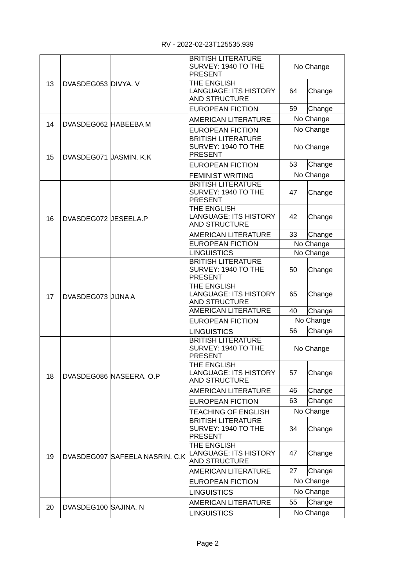|    | DVASDEG053 DIVYA. V     |                                | <b>BRITISH LITERATURE</b><br>SURVEY: 1940 TO THE<br><b>PRESENT</b>  | No Change    |           |
|----|-------------------------|--------------------------------|---------------------------------------------------------------------|--------------|-----------|
| 13 |                         |                                | THE ENGLISH<br><b>LANGUAGE: ITS HISTORY</b><br><b>AND STRUCTURE</b> | 64           | Change    |
|    |                         |                                | EUROPEAN FICTION                                                    | 59           | Change    |
| 14 | DVASDEG062 HABEEBA M    |                                | <b>AMERICAN LITERATURE</b>                                          |              | No Change |
|    |                         |                                | <b>EUROPEAN FICTION</b>                                             |              | No Change |
| 15 | DVASDEG071 JASMIN. K.K. |                                | <b>BRITISH LITERATURE</b><br>SURVEY: 1940 TO THE<br><b>PRESENT</b>  | No Change    |           |
|    |                         |                                | EUROPEAN FICTION                                                    | 53           | Change    |
|    |                         |                                | <b>FEMINIST WRITING</b>                                             |              | No Change |
|    |                         |                                | <b>BRITISH LITERATURE</b><br>SURVEY: 1940 TO THE<br><b>PRESENT</b>  | 47           | Change    |
| 16 | DVASDEG072 JESEELA.P    |                                | THE ENGLISH<br><b>LANGUAGE: ITS HISTORY</b><br><b>AND STRUCTURE</b> | 42           | Change    |
|    |                         |                                | <b>AMERICAN LITERATURE</b>                                          | 33           | Change    |
|    |                         |                                | <b>EUROPEAN FICTION</b>                                             | No Change    |           |
|    |                         |                                | <b>LINGUISTICS</b>                                                  |              | No Change |
|    | DVASDEG073 JJJNA A      |                                | <b>BRITISH LITERATURE</b><br>SURVEY: 1940 TO THE<br><b>PRESENT</b>  | 50           | Change    |
| 17 |                         |                                | THE ENGLISH<br><b>LANGUAGE: ITS HISTORY</b><br><b>AND STRUCTURE</b> | 65           | Change    |
|    |                         |                                | <b>AMERICAN LITERATURE</b>                                          | 40           | Change    |
|    |                         |                                | <b>EUROPEAN FICTION</b>                                             |              | No Change |
|    |                         |                                | <b>LINGUISTICS</b>                                                  | 56           | Change    |
|    |                         |                                | <b>BRITISH LITERATURE</b><br>SURVEY: 1940 TO THE<br><b>PRESENT</b>  | No Change    |           |
| 18 |                         | DVASDEG086 NASEERA. O.P        | THE ENGLISH<br><b>LANGUAGE: ITS HISTORY</b><br><b>AND STRUCTURE</b> | 57<br>Change |           |
|    |                         |                                | <b>AMERICAN LITERATURE</b>                                          | 46           | Change    |
|    |                         |                                | EUROPEAN FICTION                                                    | 63           | Change    |
|    |                         |                                | <b>TEACHING OF ENGLISH</b>                                          |              | No Change |
| 19 |                         | DVASDEG097 SAFEELA NASRIN. C.K | <b>BRITISH LITERATURE</b><br>SURVEY: 1940 TO THE<br><b>PRESENT</b>  | 34           | Change    |
|    |                         |                                | THE ENGLISH<br><b>LANGUAGE: ITS HISTORY</b><br><b>AND STRUCTURE</b> | 47           | Change    |
|    |                         |                                | <b>AMERICAN LITERATURE</b>                                          | 27           | Change    |
|    |                         |                                | EUROPEAN FICTION                                                    | No Change    |           |
|    |                         |                                | <b>LINGUISTICS</b>                                                  | No Change    |           |
|    |                         |                                | <b>AMERICAN LITERATURE</b>                                          | 55           | Change    |
| 20 | DVASDEG100 SAJINA. N    |                                | <b>LINGUISTICS</b>                                                  |              | No Change |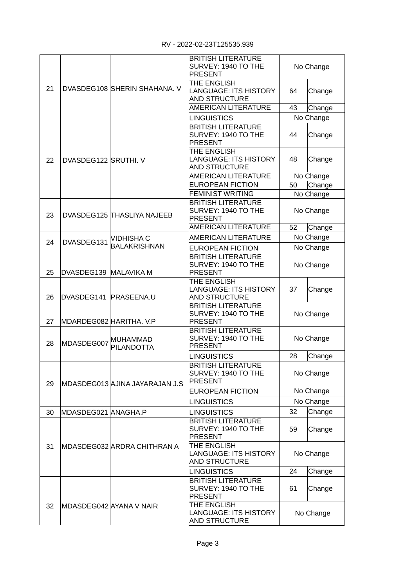|    |                         |                                      | <b>BRITISH LITERATURE</b><br>SURVEY: 1940 TO THE<br><b>PRESENT</b>  | No Change |           |
|----|-------------------------|--------------------------------------|---------------------------------------------------------------------|-----------|-----------|
| 21 |                         | DVASDEG108 SHERIN SHAHANA. V         | THE ENGLISH<br><b>LANGUAGE: ITS HISTORY</b><br><b>AND STRUCTURE</b> | 64        | Change    |
|    |                         |                                      | <b>AMERICAN LITERATURE</b>                                          | 43        | Change    |
|    |                         |                                      | <b>LINGUISTICS</b>                                                  |           | No Change |
|    |                         |                                      | <b>BRITISH LITERATURE</b><br>SURVEY: 1940 TO THE<br><b>PRESENT</b>  | 44        | Change    |
| 22 | DVASDEG122 SRUTHI. V    |                                      | THE ENGLISH<br><b>LANGUAGE: ITS HISTORY</b><br><b>AND STRUCTURE</b> | 48        | Change    |
|    |                         |                                      | AMERICAN LITERATURE                                                 |           | No Change |
|    |                         |                                      | <b>EUROPEAN FICTION</b>                                             | 50        | Change    |
|    |                         |                                      | <b>FEMINIST WRITING</b>                                             |           | No Change |
| 23 |                         | DVASDEG125 THASLIYA NAJEEB           | <b>BRITISH LITERATURE</b><br>SURVEY: 1940 TO THE<br><b>PRESENT</b>  |           | No Change |
|    |                         |                                      | AMERICAN LITERATURE                                                 | 52        | Change    |
| 24 | DVASDEG131              | <b>VIDHISHA C</b>                    | <b>AMERICAN LITERATURE</b>                                          |           | No Change |
|    |                         | <b>BALAKRISHNAN</b>                  | <b>EUROPEAN FICTION</b>                                             |           | No Change |
| 25 | DVASDEG139 MALAVIKA M   |                                      | <b>BRITISH LITERATURE</b><br>SURVEY: 1940 TO THE<br><b>PRESENT</b>  | No Change |           |
| 26 | DVASDEG141 PRASEENA.U   |                                      | THE ENGLISH<br><b>LANGUAGE: ITS HISTORY</b><br><b>AND STRUCTURE</b> | 37        | Change    |
| 27 | MDARDEG082 HARITHA. V.P |                                      | <b>BRITISH LITERATURE</b><br>SURVEY: 1940 TO THE<br><b>PRESENT</b>  | No Change |           |
| 28 | MDASDEG007              | <b>MUHAMMAD</b><br><b>PILANDOTTA</b> | <b>BRITISH LITERATURE</b><br>SURVEY: 1940 TO THE<br><b>PRESENT</b>  | No Change |           |
|    |                         |                                      | <b>LINGUISTICS</b>                                                  | 28        | Change    |
| 29 |                         | MDASDEG013 AJINA JAYARAJAN J.S       | <b>BRITISH LITERATURE</b><br>SURVEY: 1940 TO THE<br><b>PRESENT</b>  | No Change |           |
|    |                         |                                      | <b>EUROPEAN FICTION</b>                                             | No Change |           |
|    |                         |                                      | <b>LINGUISTICS</b>                                                  | No Change |           |
| 30 | MDASDEG021 ANAGHA.P     |                                      | <b>LINGUISTICS</b>                                                  | 32        | Change    |
|    |                         |                                      | <b>BRITISH LITERATURE</b><br>SURVEY: 1940 TO THE<br><b>PRESENT</b>  | 59        | Change    |
| 31 |                         | MDASDEG032 ARDRA CHITHRAN A          | THE ENGLISH<br><b>LANGUAGE: ITS HISTORY</b><br><b>AND STRUCTURE</b> | No Change |           |
|    |                         |                                      | <b>LINGUISTICS</b>                                                  | 24        | Change    |
|    |                         |                                      | <b>BRITISH LITERATURE</b><br>SURVEY: 1940 TO THE<br><b>PRESENT</b>  | 61        | Change    |
| 32 |                         | MDASDEG042 AYANA V NAIR              | THE ENGLISH<br><b>LANGUAGE: ITS HISTORY</b><br><b>AND STRUCTURE</b> | No Change |           |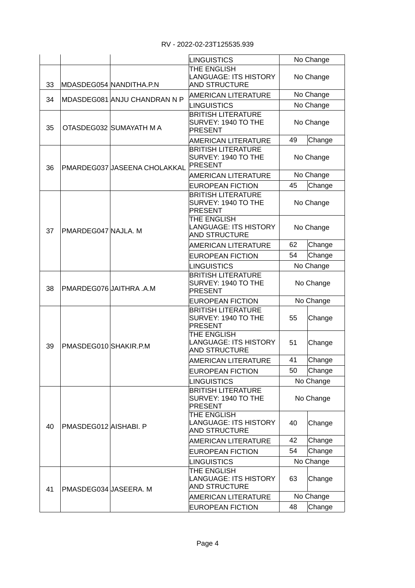|    |                         |                              | <b>LINGUISTICS</b>                                                  | No Change |           |
|----|-------------------------|------------------------------|---------------------------------------------------------------------|-----------|-----------|
| 33 |                         | MDASDEG054 NANDITHA.P.N      | THE ENGLISH<br><b>LANGUAGE: ITS HISTORY</b><br><b>AND STRUCTURE</b> | No Change |           |
| 34 |                         | MDASDEG081 ANJU CHANDRAN N P | <b>AMERICAN LITERATURE</b>                                          | No Change |           |
|    |                         |                              | <b>LINGUISTICS</b>                                                  |           | No Change |
| 35 |                         | OTASDEG032 SUMAYATH M A      | <b>BRITISH LITERATURE</b><br>SURVEY: 1940 TO THE<br><b>PRESENT</b>  | No Change |           |
|    |                         |                              | <b>AMERICAN LITERATURE</b>                                          | 49        | Change    |
| 36 |                         | PMARDEG037 JASEENA CHOLAKKAL | <b>BRITISH LITERATURE</b><br>SURVEY: 1940 TO THE<br><b>PRESENT</b>  | No Change |           |
|    |                         |                              | <b>AMERICAN LITERATURE</b>                                          |           | No Change |
|    |                         |                              | EUROPEAN FICTION                                                    | 45        | Change    |
|    | PMARDEG047 NAJLA, M     |                              | <b>BRITISH LITERATURE</b><br>SURVEY: 1940 TO THE<br><b>PRESENT</b>  |           | No Change |
| 37 |                         |                              | THE ENGLISH<br><b>LANGUAGE: ITS HISTORY</b><br><b>AND STRUCTURE</b> | No Change |           |
|    |                         |                              | <b>AMERICAN LITERATURE</b>                                          | 62        | Change    |
|    |                         |                              | <b>EUROPEAN FICTION</b>                                             | 54        | Change    |
|    |                         |                              | <b>LINGUISTICS</b>                                                  |           | No Change |
| 38 | PMARDEG076 JAITHRA .A.M |                              | <b>BRITISH LITERATURE</b><br>SURVEY: 1940 TO THE<br><b>PRESENT</b>  | No Change |           |
|    |                         |                              | <b>EUROPEAN FICTION</b>                                             |           | No Change |
| 39 | PMASDEG010 SHAKIR.P.M   |                              | <b>BRITISH LITERATURE</b><br>SURVEY: 1940 TO THE<br><b>PRESENT</b>  | 55        | Change    |
|    |                         |                              | THE ENGLISH<br><b>LANGUAGE: ITS HISTORY</b><br><b>AND STRUCTURE</b> | 51        | Change    |
|    |                         |                              | <b>AMERICAN LITERATURE</b>                                          | 41        | Change    |
|    |                         |                              | <b>EUROPEAN FICTION</b>                                             | 50        | Change    |
|    |                         |                              | <b>LINGUISTICS</b>                                                  |           | No Change |
| 40 |                         |                              | <b>BRITISH LITERATURE</b><br>SURVEY: 1940 TO THE<br><b>PRESENT</b>  | No Change |           |
|    | PMASDEG012 AISHABI. P   |                              | THE ENGLISH<br><b>LANGUAGE: ITS HISTORY</b><br><b>AND STRUCTURE</b> | 40        | Change    |
|    |                         |                              | <b>AMERICAN LITERATURE</b>                                          | 42        | Change    |
|    |                         |                              | <b>EUROPEAN FICTION</b>                                             | 54        | Change    |
|    |                         |                              | <b>LINGUISTICS</b>                                                  |           | No Change |
| 41 |                         | PMASDEG034 JASEERA. M        | THE ENGLISH<br><b>LANGUAGE: ITS HISTORY</b><br><b>AND STRUCTURE</b> | 63        | Change    |
|    |                         |                              | <b>AMERICAN LITERATURE</b>                                          |           | No Change |
|    |                         |                              | <b>EUROPEAN FICTION</b>                                             | 48        | Change    |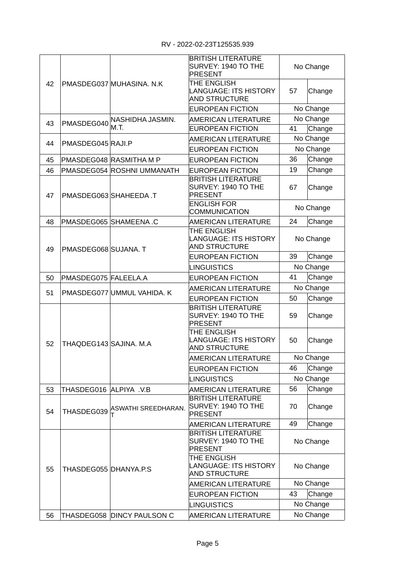|    |                        | PMASDEG037 MUHASINA. N.K   | <b>BRITISH LITERATURE</b><br>SURVEY: 1940 TO THE<br><b>PRESENT</b>  | No Change |           |
|----|------------------------|----------------------------|---------------------------------------------------------------------|-----------|-----------|
| 42 |                        |                            | THE ENGLISH<br><b>LANGUAGE: ITS HISTORY</b><br><b>AND STRUCTURE</b> | 57        | Change    |
|    |                        |                            | <b>EUROPEAN FICTION</b>                                             |           | No Change |
| 43 | PMASDEG040             | NASHIDHA JASMIN.           | <b>AMERICAN LITERATURE</b>                                          |           | No Change |
|    |                        | M.T.                       | <b>EUROPEAN FICTION</b>                                             | 41        | Change    |
| 44 | PMASDEG045 RAJI.P      |                            | <b>AMERICAN LITERATURE</b>                                          | No Change |           |
|    |                        |                            | <b>EUROPEAN FICTION</b>                                             |           | No Change |
| 45 |                        | PMASDEG048 RASMITHA M P    | <b>EUROPEAN FICTION</b>                                             | 36        | Change    |
| 46 |                        | PMASDEG054 ROSHNI UMMANATH | EUROPEAN FICTION                                                    | 19        | Change    |
| 47 |                        | PMASDEG063 SHAHEEDA.T      | <b>BRITISH LITERATURE</b><br>SURVEY: 1940 TO THE<br><b>PRESENT</b>  | 67        | Change    |
|    |                        |                            | <b>ENGLISH FOR</b><br><b>COMMUNICATION</b>                          | No Change |           |
| 48 |                        | PMASDEG065 SHAMEENA.C      | AMERICAN LITERATURE                                                 | 24        | Change    |
| 49 |                        | PMASDEG068 SUJANA. T       | THE ENGLISH<br><b>LANGUAGE: ITS HISTORY</b><br><b>AND STRUCTURE</b> | No Change |           |
|    |                        |                            | EUROPEAN FICTION                                                    | 39        | Change    |
|    |                        |                            | <b>LINGUISTICS</b>                                                  |           | No Change |
| 50 | PMASDEG075 FALEELA.A   |                            | <b>EUROPEAN FICTION</b>                                             | 41        | Change    |
|    |                        |                            | <b>AMERICAN LITERATURE</b>                                          | No Change |           |
| 51 |                        | PMASDEG077 UMMUL VAHIDA. K | <b>EUROPEAN FICTION</b>                                             | 50        | Change    |
|    | THAQDEG143 SAJINA. M.A |                            | <b>BRITISH LITERATURE</b><br>SURVEY: 1940 TO THE<br><b>PRESENT</b>  | 59        | Change    |
| 52 |                        |                            | THE ENGLISH<br><b>LANGUAGE: ITS HISTORY</b><br><b>AND STRUCTURE</b> | 50        | Change    |
|    |                        |                            | <b>AMERICAN LITERATURE</b>                                          | No Change |           |
|    |                        |                            | <b>EUROPEAN FICTION</b>                                             | 46        | Change    |
|    |                        |                            | <b>LINGUISTICS</b>                                                  |           | No Change |
| 53 | THASDEG016 ALPIYA .V.B |                            | <b>AMERICAN LITERATURE</b>                                          | 56        | Change    |
| 54 | THASDEG039             | ASWATHI SREEDHARAN.        | <b>BRITISH LITERATURE</b><br>SURVEY: 1940 TO THE<br><b>PRESENT</b>  | 70        | Change    |
|    |                        |                            | <b>AMERICAN LITERATURE</b>                                          | 49        | Change    |
| 55 |                        | THASDEG055 DHANYA.P.S      | <b>BRITISH LITERATURE</b><br>SURVEY: 1940 TO THE<br><b>PRESENT</b>  | No Change |           |
|    |                        |                            | THE ENGLISH<br><b>LANGUAGE: ITS HISTORY</b><br><b>AND STRUCTURE</b> | No Change |           |
|    |                        |                            | <b>AMERICAN LITERATURE</b>                                          |           | No Change |
|    |                        |                            | <b>EUROPEAN FICTION</b>                                             | 43        | Change    |
|    |                        |                            | <b>LINGUISTICS</b>                                                  |           | No Change |
| 56 |                        | THASDEG058 DINCY PAULSON C | <b>AMERICAN LITERATURE</b>                                          |           | No Change |